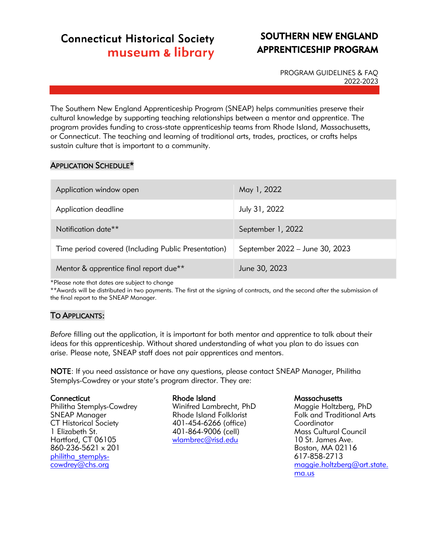# **Connecticut Historical Society** museum & library

# SOUTHERN NEW ENGLAND APPRENTICESHIP PROGRAM

PROGRAM GUIDELINES & FAQ 2022-2023

The Southern New England Apprenticeship Program (SNEAP) helps communities preserve their cultural knowledge by supporting teaching relationships between a mentor and apprentice. The program provides funding to cross-state apprenticeship teams from Rhode Island, Massachusetts, or Connecticut. The teaching and learning of traditional arts, trades, practices, or crafts helps sustain culture that is important to a community.

# APPLICATION SCHEDULE\*

| Application window open                             | May 1, 2022                    |
|-----------------------------------------------------|--------------------------------|
| Application deadline                                | July 31, 2022                  |
| Notification date <sup>**</sup>                     | September 1, 2022              |
| Time period covered (Including Public Presentation) | September 2022 - June 30, 2023 |
| Mentor & apprentice final report due**              | June 30, 2023                  |

\*Please note that dates are subject to change

\*\*Awards will be distributed in two payments. The first at the signing of contracts, and the second after the submission of the final report to the SNEAP Manager.

# TO APPLICANTS:

*Before* filling out the application, it is important for both mentor and apprentice to talk about their ideas for this apprenticeship. Without shared understanding of what you plan to do issues can arise. Please note, SNEAP staff does not pair apprentices and mentors.

NOTE: If you need assistance or have any questions, please contact SNEAP Manager, Philitha Stemplys-Cowdrey or your state's program director. They are:

### **Connecticut**

Philitha Stemplys-Cowdrey SNEAP Manager CT Historical Society 1 Elizabeth St. Hartford, CT 06105 860-236-5621 x 201 [philitha\\_stemplys](mailto:philitha_stemplys-cowdrey@chs.org)[cowdrey@chs.org](mailto:philitha_stemplys-cowdrey@chs.org)

### Rhode Island

Winifred Lambrecht, PhD Rhode Island Folklorist 401-454-6266 (office) 401-864-9006 (cell) [wlambrec@risd.edu](mailto:wlambrec@risd.edu)

#### **Massachusetts**

Maggie Holtzberg, PhD Folk and Traditional Arts **Coordinator** Mass Cultural Council 10 St. James Ave. Boston, MA 02116 617-858-2713 [maggie.holtzberg@art.state.](mailto:maggie.holtzberg@art.state.ma.us) [ma.us](mailto:maggie.holtzberg@art.state.ma.us)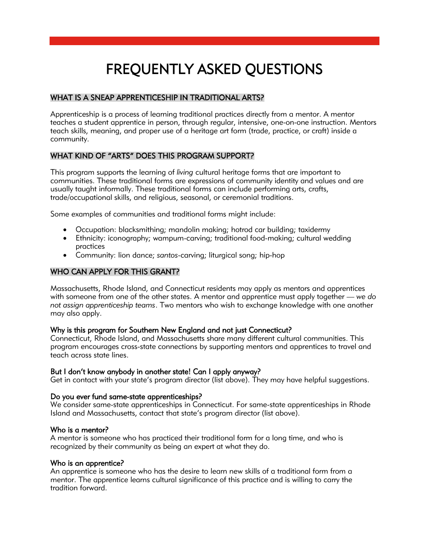# FREQUENTLY ASKED QUESTIONS

# WHAT IS A SNEAP APPRENTICESHIP IN TRADITIONAL ARTS?

Apprenticeship is a process of learning traditional practices directly from a mentor. A mentor teaches a student apprentice in person, through regular, intensive, one-on-one instruction. Mentors teach skills, meaning, and proper use of a heritage art form (trade, practice, or craft) inside a community.

# WHAT KIND OF "ARTS" DOES THIS PROGRAM SUPPORT?

This program supports the learning of *living* cultural heritage forms that are important to communities. These traditional forms are expressions of community identity and values and are usually taught informally. These traditional forms can include performing arts, crafts, trade/occupational skills, and religious, seasonal, or ceremonial traditions.

Some examples of communities and traditional forms might include:

- Occupation: blacksmithing; mandolin making; hotrod car building; taxidermy
- Ethnicity: iconography; wampum-carving; traditional food-making; cultural wedding practices
- Community: lion dance; *santos*-carving; liturgical song; hip-hop

# WHO CAN APPLY FOR THIS GRANT?

Massachusetts, Rhode Island, and Connecticut residents may apply as mentors and apprentices with someone from one of the other states. A mentor and apprentice must apply together — *we do not assign apprenticeship teams*. Two mentors who wish to exchange knowledge with one another may also apply.

# Why is this program for Southern New England and not just Connecticut?

Connecticut, Rhode Island, and Massachusetts share many different cultural communities. This program encourages cross-state connections by supporting mentors and apprentices to travel and teach across state lines.

### But I don't know anybody in another state! Can I apply anyway?

Get in contact with your state's program director (list above). They may have helpful suggestions.

### Do you ever fund same-state apprenticeships?

We consider same-state apprenticeships in Connecticut. For same-state apprenticeships in Rhode Island and Massachusetts, contact that state's program director (list above).

### Who is a mentor?

A mentor is someone who has practiced their traditional form for a long time, and who is recognized by their community as being an expert at what they do.

# Who is an apprentice?

An apprentice is someone who has the desire to learn new skills of a traditional form from a mentor. The apprentice learns cultural significance of this practice and is willing to carry the tradition forward.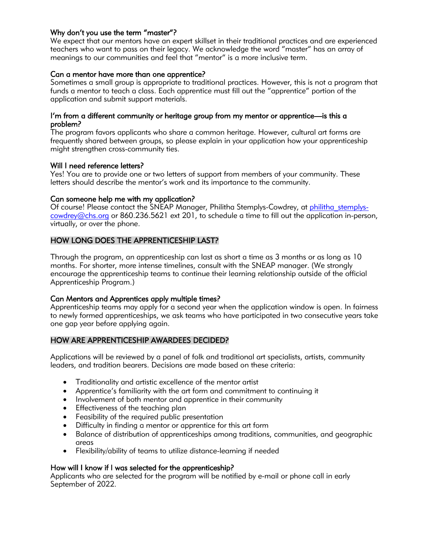# Why don't you use the term "master"?

We expect that our mentors have an expert skillset in their traditional practices and are experienced teachers who want to pass on their legacy. We acknowledge the word "master" has an array of meanings to our communities and feel that "mentor" is a more inclusive term.

# Can a mentor have more than one apprentice?

Sometimes a small group is appropriate to traditional practices. However, this is not a program that funds a mentor to teach a class. Each apprentice must fill out the "apprentice" portion of the application and submit support materials.

### I'm from a different community or heritage group from my mentor or apprentice—is this a problem?

The program favors applicants who share a common heritage. However, cultural art forms are frequently shared between groups, so please explain in your application how your apprenticeship might strengthen cross-community ties.

### Will I need reference letters?

Yes! You are to provide one or two letters of support from members of your community. These letters should describe the mentor's work and its importance to the community.

# Can someone help me with my application?

Of course! Please contact the SNEAP Manager, Philitha Stemplys-Cowdrey, at philitha stemplys[cowdrey@chs.org](mailto:philitha_stemplys-cowdrey@chs.org) or 860.236.5621 ext 201, to schedule a time to fill out the application in-person, virtually, or over the phone.

# HOW LONG DOES THE APPRENTICESHIP LAST?

Through the program, an apprenticeship can last as short a time as 3 months or as long as 10 months. For shorter, more intense timelines, consult with the SNEAP manager. (We strongly encourage the apprenticeship teams to continue their learning relationship outside of the official Apprenticeship Program.)

### Can Mentors and Apprentices apply multiple times?

Apprenticeship teams may apply for a second year when the application window is open. In fairness to newly formed apprenticeships, we ask teams who have participated in two consecutive years take one gap year before applying again.

# HOW ARE APPRENTICESHIP AWARDEES DECIDED?

Applications will be reviewed by a panel of folk and traditional art specialists, artists, community leaders, and tradition bearers. Decisions are made based on these criteria:

- Traditionality and artistic excellence of the mentor artist
- Apprentice's familiarity with the art form and commitment to continuing it
- Involvement of both mentor and apprentice in their community
- Effectiveness of the teaching plan
- Feasibility of the required public presentation
- Difficulty in finding a mentor or apprentice for this art form
- Balance of distribution of apprenticeships among traditions, communities, and geographic areas
- Flexibility/ability of teams to utilize distance-learning if needed

### How will I know if I was selected for the apprenticeship?

Applicants who are selected for the program will be notified by e-mail or phone call in early September of 2022.